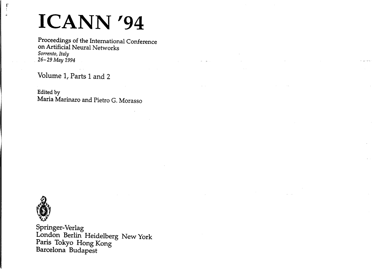# l~ **ICANN '94**

Proceedings of the International Conference on Artificial Neural Networks *Sorrento, Italy 46-29 May 1994*

Volume I, Parts 1 and 2

Edited by Maria Marinaro and Pietro G. Morasso



r,

Springer-Verlag London Berlin Heidelberg New York Paris Tokyo Hong Kong Barcelona Budapest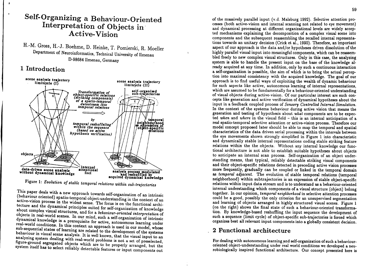## Self-Organizing a Behaviour- Oriented Interpretation of Objects in' Active- Vision

H.-M. Gross, H.-J. Boehme, D. Heinke, T. Pomierski, R. Moeller Department of Neuroinformatics, Technical University of Ilmenau D-98684 Ilmenau, Germany

### 1 Introduction



Figure 1: *Evolution 0/ stable temporal relations within sub-trajedories*

This paper deals with a new approach towards self-organization of an intrinsic (behaviour oriented) spatio-temporal object-understanding in the context of an active-vision process in the widest sense. The focus is on the functional architecture and the dynamical principles suited for self-organization of knowledge about complex visuaJ structures, and for a *behaviour-oriented interpretation* of objects in real-world scenes. In our mind, such a self-organization of intrinsic dynamical knowledge is aprerequisite for active, autonomous learning under real-world conditions. In this context an approach is used in our model, whose sub-sequential states of learning are related to the development of the systems behaviour in visual scene analysis. It is well known, that the visual input to an analyzing system dealing with real-world problems is not a set of preselected, figure-ground segregated objects which are to be properly arranged, but the system itself has to select reliably deteetable features or input components out

of the massively parallel input (v.d. Malsburg 1992). Selective attention processes (both active-vision and internal scanning not related to eye movement) and dynamical processing at different organizational levels are widely accepted mechanisms explaining the decomposition of a complex visual scene into components and the subsequent reassembling the recalled internal representations towards an unitary decision (Crick et al., 1990). Therefore, an important aspect of our approach is the data and/or hypotheses driven dissolution of the highly parallel visual input into meaningful components, which can be reassembled freely to new complex visual structures. Only in this case, the analyzing system is able to handle the present input on the base of the knowledge already acquired at any time. In addition, only by such a continuous interaction a self-organization is possible, the aim of which is to bring the actual perception into maximal consistency with the acquired knowledge. The goal of our approach is to find useful ways of exploiting the wealth of dynamic behaviour for such aspects like active, autonomous learning of internal representations, which are assumed to be fundamentally for a behaviour-oriented understanding of visual objects during active-vision. Of our particular interest are such concepts like generation and active verification of dynamical hypotheses about the input in a feedback coupled process of *Sensory Controlled Internal Simulation.* In the context of the systems behaviour during active vision that means the generation and testing of hypothesis about *what* components are to be expected *when* and *where* in the visual field - this is an internal anticipation of a real spatio-temporal selective attention or active-vision process. Therefore our model concept proposed later should be able to map the temporal and spatial characteristics of the data driven serial proeessing within the intervals between the eye movements shown strongly simplified in Figure 1 into characteristic and dynamieally stable internal representations coding stable striking feature relations within the the objects. Without any internal knowledge our functional architecture is not able to establish suitable hypotheses about objects to anticipate an internal scan process. Self-organization of an object understanding means, that typical, reliably detectable striking visual components and their object-specific relations detected in preceding active vision processes more frequently, gradually can be coupled or linked in the temporal domain as *temporal adjacent.* The evolution of stable temporal relations (temporal neighborhood) within subtrajectories is an expression of stable object-specific relations within input data stream and is to understand as a behaviour-oriented internal understanding which components of a visual structure (object) belong together. In our opinion, *temporal neighborhood* in selective attention processes could be a good, possibly the only criterion for an unsupervised segmentation and learning of objects arranged in highly structured visual scenes. Figure 1 (on the right) shows the final state of such a behaviour-oriented transformation. By knowledge-based reshufHing the input sequence the development of such a sequence (limit cycle) of object-specific sub-trajectories is forced which organizes best all relevant input components into a globaHy consistent decision.

#### 2 Functional architecture

For dealing with autonomous learning and self-organization of such a behaviouroriented object-understanding under real world conditions we developed a neurobiologically inspired functional architecture. Our concept presented here is